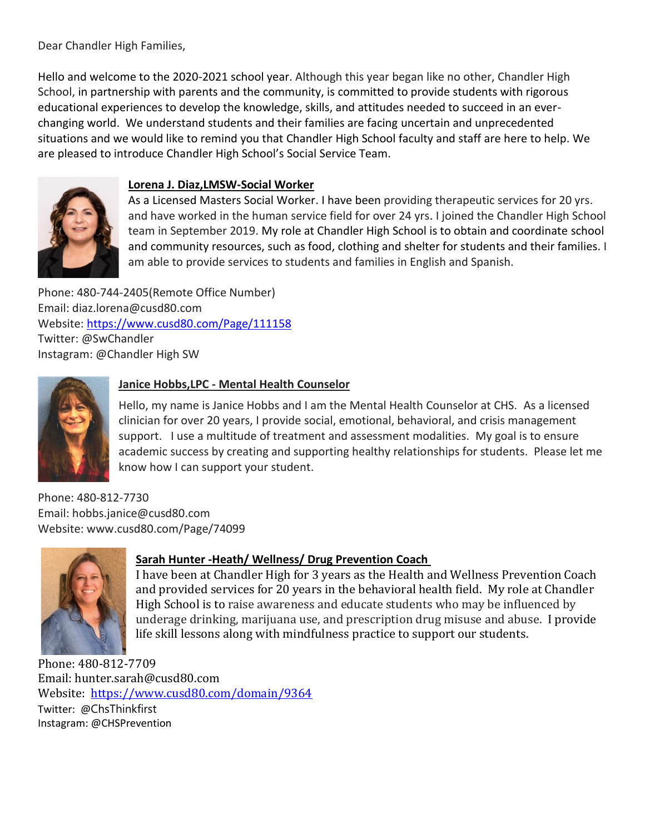Dear Chandler High Families,

Hello and welcome to the 2020-2021 school year. Although this year began like no other, Chandler High School, in partnership with parents and the community, is committed to provide students with rigorous educational experiences to develop the knowledge, skills, and attitudes needed to succeed in an everchanging world. We understand students and their families are facing uncertain and unprecedented situations and we would like to remind you that Chandler High School faculty and staff are here to help. We are pleased to introduce Chandler High School's Social Service Team.



## **Lorena J. Diaz,LMSW-Social Worker**

As a Licensed Masters Social Worker. I have been providing therapeutic services for 20 yrs. and have worked in the human service field for over 24 yrs. I joined the Chandler High School team in September 2019. My role at Chandler High School is to obtain and coordinate school and community resources, such as food, clothing and shelter for students and their families. I am able to provide services to students and families in English and Spanish.

Phone: 480-744-2405(Remote Office Number) Email: diaz.lorena@cusd80.com Website:<https://www.cusd80.com/Page/111158> Twitter: @SwChandler Instagram: @Chandler High SW



# **Janice Hobbs,LPC - Mental Health Counselor**

Hello, my name is Janice Hobbs and I am the Mental Health Counselor at CHS. As a licensed clinician for over 20 years, I provide social, emotional, behavioral, and crisis management support. I use a multitude of treatment and assessment modalities. My goal is to ensure academic success by creating and supporting healthy relationships for students. Please let me know how I can support your student.

Phone: 480-812-7730 Email: hobbs.janice@cusd80.com Website: www.cusd80.com/Page/74099



# **Sarah Hunter -Heath/ Wellness/ Drug Prevention Coach**

I have been at Chandler High for 3 years as the Health and Wellness Prevention Coach and provided services for 20 years in the behavioral health field. My role at Chandler High School is to raise awareness and educate students who may be influenced by underage drinking, marijuana use, and prescription drug misuse and abuse. I provide life skill lessons along with mindfulness practice to support our students.

Phone: 480-812-7709 Email: hunter.sarah@cusd80.com Website: <https://www.cusd80.com/domain/9364> Twitter: @ChsThinkfirst Instagram: @CHSPrevention